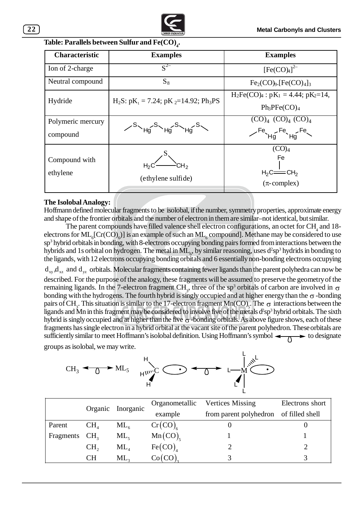

| <b>Characteristic</b>         | <b>Examples</b>                                                             | <b>Examples</b>                                                       |  |
|-------------------------------|-----------------------------------------------------------------------------|-----------------------------------------------------------------------|--|
| Ion of 2-charge               | $\overline{S^{2-}}$                                                         | [Fe(CO) <sub>4</sub> ] <sup>2–</sup>                                  |  |
| Neutral compound              | $S_8$                                                                       | $Fe2(CO)9. [Fe(CO)4]$                                                 |  |
| Hydride                       | $H_2S$ : pK <sub>1</sub> = 7.24; pK <sub>2</sub> =14.92; Ph <sub>3</sub> PS | $H_2Fe(CO)_4: pK_1 = 4.44; pK_2=14,$<br>$Ph_3PFe(CO)_4$               |  |
| Polymeric mercury<br>compound | <sup>S</sup> Ha <sup>S</sup> Ha <sup>S</sup> Hg                             | $(CO)4 (CO)4 (CO)4$<br>$\angle$ Fe <sub><math>He</math></sub> Fe $He$ |  |
| Compound with<br>ethylene     | (ethylene sulfide)                                                          | (CO) <sub>4</sub><br>Fe<br>$H_2C = CH_2$<br>$(\pi$ -complex)          |  |

## **.**

## **The Isolobal Analogy:**

Hoffmann defined molecular fragments to be isolobal, if the number, symmetry properties, approximate energy and shape of the frontier orbitals and the number of electron in them are similar–not identical, but similar.

reginents has single electron in a hybrid of order at the vacant site of the parent polyhedron. These orbitals are sufficiently similar to meet Hoffmann's isolobal definition. Using Hoffmann's symbol  $\leftarrow \wedge \rightarrow$  to designa The parent compounds have filled valence shell electron configurations, an octet for  $\text{CH}_4$  and 18electrons for  $\text{ML}_6[\text{Cr(CO)}_6]$  is an example of such an  $\text{ML}_6$  compound]. Methane may be considered to use sp<sup>3</sup> hybrid orbitals in bonding, with 8-electrons occupying bonding pairs formed from interactions between the hybrids and 1s orbital on hydrogen. The metal in  $ML_{6}$ , by similar reasoning, uses  $d^{2}sp^{3}$  hydrids in bonding to the ligands, with 12 electrons occupying bonding orbitals and 6 essentially non-bonding electrons occupying  $d_{xy}$ , $d_{xz}$  and  $d_{yz}$  orbitals. Molecular fragments containing fewer ligands than the parent polyhedra can now be described. For the purpose of the analogy, these fragments will be assumed to preserve the geometry of the remaining ligands. In the 7-electron fragment CH<sub>3</sub>, three of the sp<sup>3</sup> orbitals of carbon are involved in  $\sigma$ bonding with the hydrogens. The fourth hybrid is singly occupied and at higher energy than the  $\sigma$ -bonding pairs of CH<sub>3</sub>. This situation is similar to the 17-electron fragment Mn(CO)<sub>5</sub>. The  $\sigma$  interactions between the ligands and Mn in this fragment may be considered to involve five of the metals  $d^2sp^3$  hybrid orbitals. The sixth hybrid is singly occupied and at higher than the five  $\sigma$ -bonding orbitals. As above figure shows, each of these fragments has single electron in a hybrid orbital at the vacant site of the parent polyhedron. These orbitals are groups as isolobal, we may write.



|           | Organic         | Inorganic       | Organometallic      | <b>Vertices Missing</b> | Electrons short |
|-----------|-----------------|-----------------|---------------------|-------------------------|-----------------|
|           |                 |                 | example             | from parent polyhedron  | of filled shell |
| Parent    | $CH_{4}$        | $ML_{6}$        | $Cr(CO)_{\epsilon}$ |                         |                 |
| Fragments | CH <sub>2</sub> | $ML_{5}$        | $Mn(CO)_{s}$        |                         |                 |
|           | CH <sub>2</sub> | $\mathrm{ML}_4$ | Fe(CO)              |                         |                 |
|           | <b>CH</b>       | $\mathrm{ML}_3$ | Co(CO)              |                         |                 |